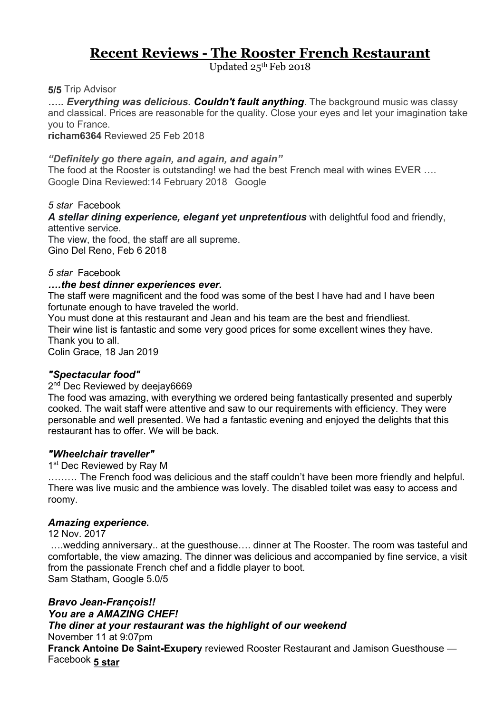# **Recent Reviews - The Rooster French Restaurant**

Updated 25th Feb 2018

**5/5** Trip Advisor

*….. Everything was delicious. Couldn't fault anything*. The background music was classy and classical. Prices are reasonable for the quality. Close your eyes and let your imagination take you to France.

**richam6364** Reviewed 25 Feb 2018

# *"Definitely go there again, and again, and again"*

The food at the Rooster is outstanding! we had the best French meal with wines EVER …. Google Dina Reviewed:14 February 2018 Google

*5 star* Facebook

*A stellar dining experience, elegant yet unpretentious* with delightful food and friendly, attentive service.

The view, the food, the staff are all supreme. Gino Del Reno, Feb 6 2018

# *5 star* Facebook

# *….the best dinner experiences ever.*

The staff were magnificent and the food was some of the best I have had and I have been fortunate enough to have traveled the world.

You must done at this restaurant and Jean and his team are the best and friendliest. Their wine list is fantastic and some very good prices for some excellent wines they have. Thank you to all.

Colin Grace, 18 Jan 2019

# *"Spectacular food"*

# 2<sup>nd</sup> Dec Reviewed by deejay6669

The food was amazing, with everything we ordered being fantastically presented and superbly cooked. The wait staff were attentive and saw to our requirements with efficiency. They were personable and well presented. We had a fantastic evening and enjoyed the delights that this restaurant has to offer. We will be back.

# *"Wheelchair traveller"*

1st Dec Reviewed by Ray M

……… The French food was delicious and the staff couldn't have been more friendly and helpful. There was live music and the ambience was lovely. The disabled toilet was easy to access and roomy.

# *Amazing experience***.**

12 Nov. 2017

….wedding anniversary.. at the guesthouse…. dinner at The Rooster. The room was tasteful and comfortable, the view amazing. The dinner was delicious and accompanied by fine service, a visit from the passionate French chef and a fiddle player to boot. Sam Statham, Google 5.0/5

# *Bravo Jean-François!! You are a AMAZING CHEF! The diner at your restaurant was the highlight of our weekend*

#### November 11 at 9:07pm

**Franck Antoine De Saint-Exupery** reviewed Rooster Restaurant and Jamison Guesthouse — Facebook **5 star**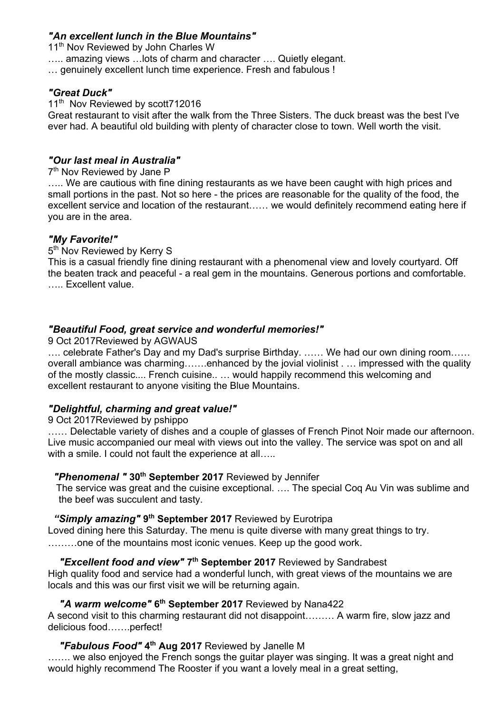# *"An excellent lunch in the Blue Mountains"*

11<sup>th</sup> Nov Reviewed by John Charles W

….. amazing views …lots of charm and character …. Quietly elegant.

… genuinely excellent lunch time experience. Fresh and fabulous !

#### *"Great Duck"*

11<sup>th</sup> Nov Reviewed by scott712016

Great restaurant to visit after the walk from the Three Sisters. The duck breast was the best I've ever had. A beautiful old building with plenty of character close to town. Well worth the visit.

# *"Our last meal in Australia"*

#### 7<sup>th</sup> Nov Reviewed by Jane P

..... We are cautious with fine dining restaurants as we have been caught with high prices and small portions in the past. Not so here - the prices are reasonable for the quality of the food, the excellent service and location of the restaurant…… we would definitely recommend eating here if you are in the area.

# *"My Favorite!"*

5<sup>th</sup> Nov Reviewed by Kerry S

This is a casual friendly fine dining restaurant with a phenomenal view and lovely courtyard. Off the beaten track and peaceful - a real gem in the mountains. Generous portions and comfortable. ….. Excellent value.

# *"Beautiful Food, great service and wonderful memories!"*

9 Oct 2017Reviewed by AGWAUS

…. celebrate Father's Day and my Dad's surprise Birthday. …… We had our own dining room…… overall ambiance was charming…….enhanced by the jovial violinist . … impressed with the quality of the mostly classic.... French cuisine.. … would happily recommend this welcoming and excellent restaurant to anyone visiting the Blue Mountains.

# *"Delightful, charming and great value!"*

# 9 Oct 2017Reviewed by pshippo

...... Delectable variety of dishes and a couple of glasses of French Pinot Noir made our afternoon. Live music accompanied our meal with views out into the valley. The service was spot on and all with a smile. I could not fault the experience at all.....

# *"Phenomenal "* **30th September 2017** Reviewed by Jennifer

 The service was great and the cuisine exceptional. …. The special Coq Au Vin was sublime and the beef was succulent and tasty.

# *"Simply amazing"* **9th September 2017** Reviewed by Eurotripa

Loved dining here this Saturday. The menu is quite diverse with many great things to try. ………one of the mountains most iconic venues. Keep up the good work.

# *"Excellent food and view"* **7th September 2017** Reviewed by Sandrabest

High quality food and service had a wonderful lunch, with great views of the mountains we are locals and this was our first visit we will be returning again.

# *"A warm welcome"* **6th September 2017** Reviewed by Nana422

A second visit to this charming restaurant did not disappoint……… A warm fire, slow jazz and delicious food…….perfect!

# *"Fabulous Food"* **4th Aug 2017** Reviewed by Janelle M

....... we also enjoyed the French songs the guitar player was singing. It was a great night and would highly recommend The Rooster if you want a lovely meal in a great setting,